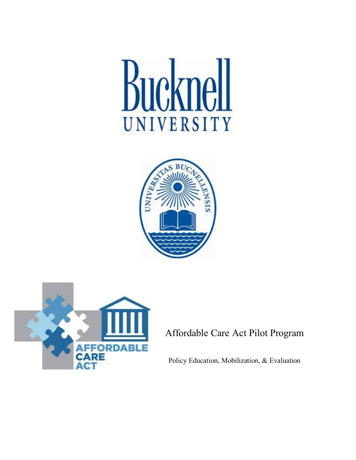# Bucknell UNIVERSITY





# Affordable Care Act Pilot Program

Policy Education, Mobilization, & Evaluation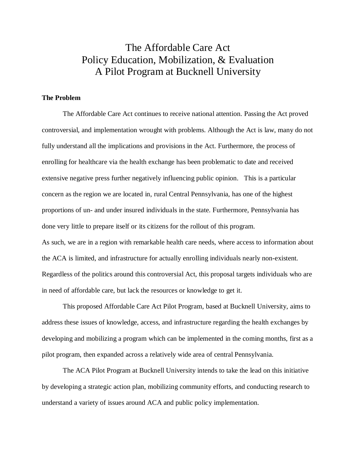# The Affordable Care Act Policy Education, Mobilization, & Evaluation A Pilot Program at Bucknell University

### **The Problem**

The Affordable Care Act continues to receive national attention. Passing the Act proved controversial, and implementation wrought with problems. Although the Act is law, many do not fully understand all the implications and provisions in the Act. Furthermore, the process of enrolling for healthcare via the health exchange has been problematic to date and received extensive negative press further negatively influencing public opinion. This is a particular concern as the region we are located in, rural Central Pennsylvania, has one of the highest proportions of un- and under insured individuals in the state. Furthermore, Pennsylvania has done very little to prepare itself or its citizens for the rollout of this program. As such, we are in a region with remarkable health care needs, where access to information about the ACA is limited, and infrastructure for actually enrolling individuals nearly non-existent. Regardless of the politics around this controversial Act, this proposal targets individuals who are in need of affordable care, but lack the resources or knowledge to get it.

This proposed Affordable Care Act Pilot Program, based at Bucknell University, aims to address these issues of knowledge, access, and infrastructure regarding the health exchanges by developing and mobilizing a program which can be implemented in the coming months, first as a pilot program, then expanded across a relatively wide area of central Pennsylvania.

The ACA Pilot Program at Bucknell University intends to take the lead on this initiative by developing a strategic action plan, mobilizing community efforts, and conducting research to understand a variety of issues around ACA and public policy implementation.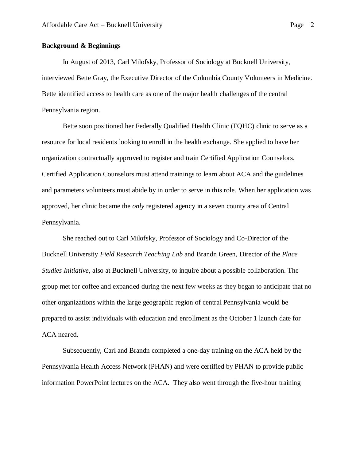# **Background & Beginnings**

In August of 2013, Carl Milofsky, Professor of Sociology at Bucknell University, interviewed Bette Gray, the Executive Director of the Columbia County Volunteers in Medicine. Bette identified access to health care as one of the major health challenges of the central Pennsylvania region.

Bette soon positioned her Federally Qualified Health Clinic (FQHC) clinic to serve as a resource for local residents looking to enroll in the health exchange. She applied to have her organization contractually approved to register and train Certified Application Counselors. Certified Application Counselors must attend trainings to learn about ACA and the guidelines and parameters volunteers must abide by in order to serve in this role. When her application was approved, her clinic became the *only* registered agency in a seven county area of Central Pennsylvania.

She reached out to Carl Milofsky, Professor of Sociology and Co-Director of the Bucknell University *Field Research Teaching Lab* and Brandn Green, Director of the *Place Studies Initiative,* also at Bucknell University, to inquire about a possible collaboration. The group met for coffee and expanded during the next few weeks as they began to anticipate that no other organizations within the large geographic region of central Pennsylvania would be prepared to assist individuals with education and enrollment as the October 1 launch date for ACA neared.

Subsequently, Carl and Brandn completed a one-day training on the ACA held by the Pennsylvania Health Access Network (PHAN) and were certified by PHAN to provide public information PowerPoint lectures on the ACA. They also went through the five-hour training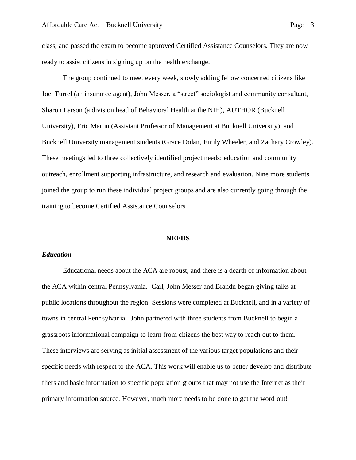class, and passed the exam to become approved Certified Assistance Counselors. They are now ready to assist citizens in signing up on the health exchange.

The group continued to meet every week, slowly adding fellow concerned citizens like Joel Turrel (an insurance agent), John Messer, a "street" sociologist and community consultant, Sharon Larson (a division head of Behavioral Health at the NIH), AUTHOR (Bucknell University), Eric Martin (Assistant Professor of Management at Bucknell University), and Bucknell University management students (Grace Dolan, Emily Wheeler, and Zachary Crowley). These meetings led to three collectively identified project needs: education and community outreach, enrollment supporting infrastructure, and research and evaluation. Nine more students joined the group to run these individual project groups and are also currently going through the training to become Certified Assistance Counselors.

#### **NEEDS**

#### *Education*

Educational needs about the ACA are robust, and there is a dearth of information about the ACA within central Pennsylvania. Carl, John Messer and Brandn began giving talks at public locations throughout the region. Sessions were completed at Bucknell, and in a variety of towns in central Pennsylvania. John partnered with three students from Bucknell to begin a grassroots informational campaign to learn from citizens the best way to reach out to them. These interviews are serving as initial assessment of the various target populations and their specific needs with respect to the ACA. This work will enable us to better develop and distribute fliers and basic information to specific population groups that may not use the Internet as their primary information source. However, much more needs to be done to get the word out!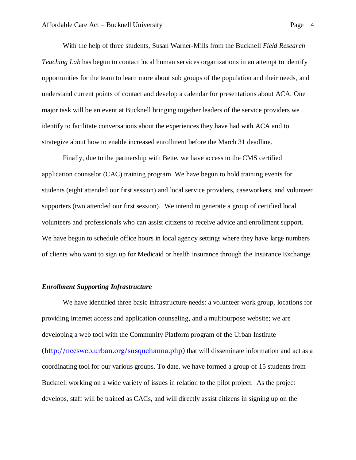With the help of three students, Susan Warner-Mills from the Bucknell *Field Research Teaching Lab* has begun to contact local human services organizations in an attempt to identify opportunities for the team to learn more about sub groups of the population and their needs, and understand current points of contact and develop a calendar for presentations about ACA. One major task will be an event at Bucknell bringing together leaders of the service providers we identify to facilitate conversations about the experiences they have had with ACA and to strategize about how to enable increased enrollment before the March 31 deadline.

Finally, due to the partnership with Bette, we have access to the CMS certified application counselor (CAC) training program. We have begun to hold training events for students (eight attended our first session) and local service providers, caseworkers, and volunteer supporters (two attended our first session). We intend to generate a group of certified local volunteers and professionals who can assist citizens to receive advice and enrollment support. We have begun to schedule office hours in local agency settings where they have large numbers of clients who want to sign up for Medicaid or health insurance through the Insurance Exchange.

### *Enrollment Supporting Infrastructure*

We have identified three basic infrastructure needs: a volunteer work group, locations for providing Internet access and application counseling, and a multipurpose website; we are developing a web tool with the Community Platform program of the Urban Institute [\(http://nccsweb.urban.org/susquehanna.php\)](http://nccsweb.urban.org/susquehanna.php) that will disseminate information and act as a coordinating tool for our various groups. To date, we have formed a group of 15 students from Bucknell working on a wide variety of issues in relation to the pilot project. As the project develops, staff will be trained as CACs, and will directly assist citizens in signing up on the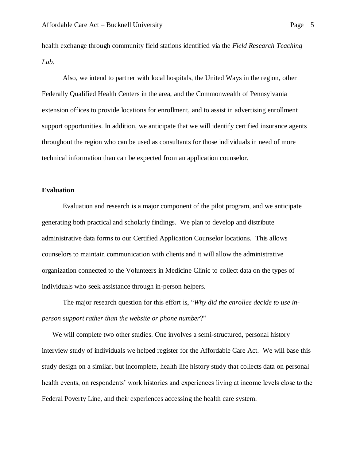health exchange through community field stations identified via the *Field Research Teaching Lab*.

Also, we intend to partner with local hospitals, the United Ways in the region, other Federally Qualified Health Centers in the area, and the Commonwealth of Pennsylvania extension offices to provide locations for enrollment, and to assist in advertising enrollment support opportunities. In addition, we anticipate that we will identify certified insurance agents throughout the region who can be used as consultants for those individuals in need of more technical information than can be expected from an application counselor.

### **Evaluation**

Evaluation and research is a major component of the pilot program, and we anticipate generating both practical and scholarly findings. We plan to develop and distribute administrative data forms to our Certified Application Counselor locations. This allows counselors to maintain communication with clients and it will allow the administrative organization connected to the Volunteers in Medicine Clinic to collect data on the types of individuals who seek assistance through in-person helpers.

The major research question for this effort is, "*Why did the enrollee decide to use inperson support rather than the website or phone number*?"

We will complete two other studies. One involves a semi-structured, personal history interview study of individuals we helped register for the Affordable Care Act. We will base this study design on a similar, but incomplete, health life history study that collects data on personal health events, on respondents' work histories and experiences living at income levels close to the Federal Poverty Line, and their experiences accessing the health care system.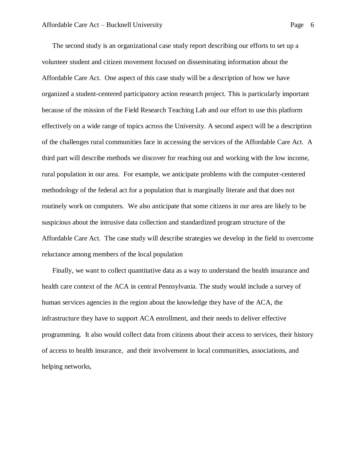The second study is an organizational case study report describing our efforts to set up a volunteer student and citizen movement focused on disseminating information about the Affordable Care Act. One aspect of this case study will be a description of how we have organized a student-centered participatory action research project. This is particularly important because of the mission of the Field Research Teaching Lab and our effort to use this platform effectively on a wide range of topics across the University. A second aspect will be a description of the challenges rural communities face in accessing the services of the Affordable Care Act. A third part will describe methods we discover for reaching out and working with the low income, rural population in our area. For example, we anticipate problems with the computer-centered methodology of the federal act for a population that is marginally literate and that does not routinely work on computers. We also anticipate that some citizens in our area are likely to be suspicious about the intrusive data collection and standardized program structure of the Affordable Care Act. The case study will describe strategies we develop in the field to overcome reluctance among members of the local population

Finally, we want to collect quantitative data as a way to understand the health insurance and health care context of the ACA in central Pennsylvania. The study would include a survey of human services agencies in the region about the knowledge they have of the ACA, the infrastructure they have to support ACA enrollment, and their needs to deliver effective programming. It also would collect data from citizens about their access to services, their history of access to health insurance, and their involvement in local communities, associations, and helping networks,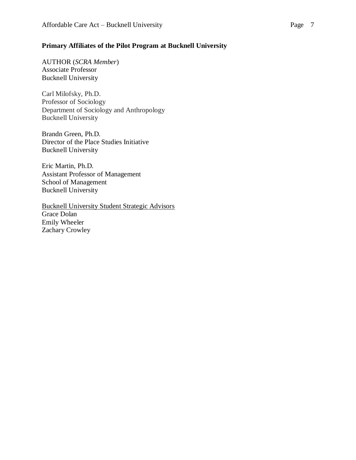# **Primary Affiliates of the Pilot Program at Bucknell University**

AUTHOR (*SCRA Member*) Associate Professor Bucknell University

Carl Milofsky, Ph.D. Professor of Sociology Department of Sociology and Anthropology Bucknell University

Brandn Green, Ph.D. Director of the Place Studies Initiative Bucknell University

Eric Martin, Ph.D. Assistant Professor of Management School of Management Bucknell University

Bucknell University Student Strategic Advisors Grace Dolan Emily Wheeler Zachary Crowley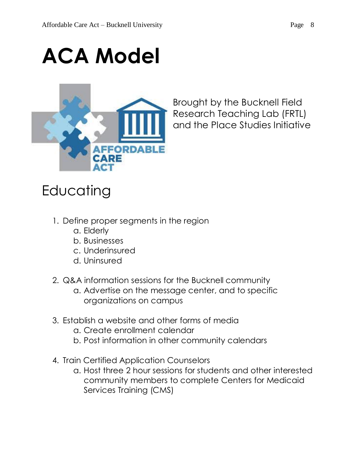# **ACA Model**



Brought by the Bucknell Field Research Teaching Lab (FRTL) and the Place Studies Initiative

# **Educating**

- 1. Define proper segments in the region
	- a. Elderly
	- b. Businesses
	- c. Underinsured
	- d. Uninsured
- 2. Q&A information sessions for the Bucknell community
	- a. Advertise on the message center, and to specific organizations on campus
- 3. Establish a website and other forms of media
	- a. Create enrollment calendar
	- b. Post information in other community calendars
- 4. Train Certified Application Counselors
	- a. Host three 2 hour sessions for students and other interested community members to complete Centers for Medicaid Services Training (CMS)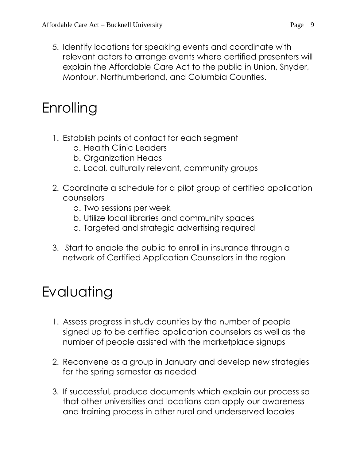5. Identify locations for speaking events and coordinate with relevant actors to arrange events where certified presenters will explain the Affordable Care Act to the public in Union, Snyder, Montour, Northumberland, and Columbia Counties.

# Enrolling

- 1. Establish points of contact for each segment
	- a. Health Clinic Leaders
	- b. Organization Heads
	- c. Local, culturally relevant, community groups
- 2. Coordinate a schedule for a pilot group of certified application counselors
	- a. Two sessions per week
	- b. Utilize local libraries and community spaces
	- c. Targeted and strategic advertising required
- 3. Start to enable the public to enroll in insurance through a network of Certified Application Counselors in the region

# Evaluating

- 1. Assess progress in study counties by the number of people signed up to be certified application counselors as well as the number of people assisted with the marketplace signups
- 2. Reconvene as a group in January and develop new strategies for the spring semester as needed
- 3. If successful, produce documents which explain our process so that other universities and locations can apply our awareness and training process in other rural and underserved locales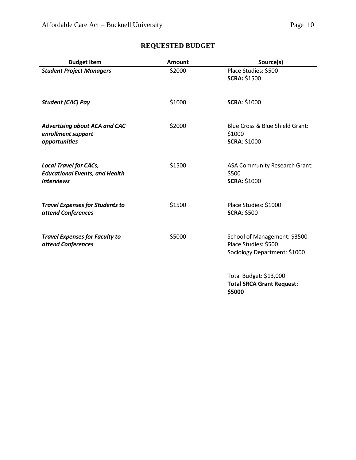| <b>Budget Item</b>                                                                          | Amount | Source(s)                                                                            |
|---------------------------------------------------------------------------------------------|--------|--------------------------------------------------------------------------------------|
| <b>Student Project Managers</b>                                                             | \$2000 | Place Studies: \$500<br><b>SCRA: \$1500</b>                                          |
| <b>Student (CAC) Pay</b>                                                                    | \$1000 | <b>SCRA: \$1000</b>                                                                  |
| <b>Advertising about ACA and CAC</b><br>enrollment support<br>opportunities                 | \$2000 | Blue Cross & Blue Shield Grant:<br>\$1000<br><b>SCRA: \$1000</b>                     |
| <b>Local Travel for CACs,</b><br><b>Educational Events, and Health</b><br><b>Interviews</b> | \$1500 | ASA Community Research Grant:<br>\$500<br><b>SCRA: \$1000</b>                        |
| <b>Travel Expenses for Students to</b><br>attend Conferences                                | \$1500 | Place Studies: \$1000<br><b>SCRA: \$500</b>                                          |
| <b>Travel Expenses for Faculty to</b><br>attend Conferences                                 | \$5000 | School of Management: \$3500<br>Place Studies: \$500<br>Sociology Department: \$1000 |
|                                                                                             |        | Total Budget: \$13,000<br><b>Total SRCA Grant Request:</b><br>\$5000                 |

# **REQUESTED BUDGET**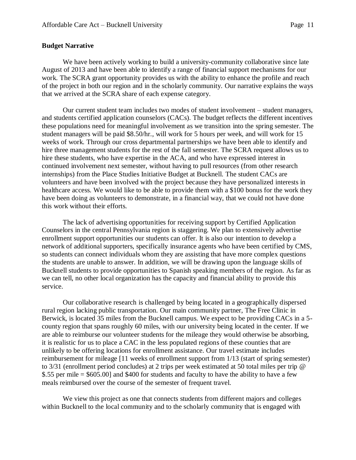## **Budget Narrative**

We have been actively working to build a university-community collaborative since late August of 2013 and have been able to identify a range of financial support mechanisms for our work. The SCRA grant opportunity provides us with the ability to enhance the profile and reach of the project in both our region and in the scholarly community. Our narrative explains the ways that we arrived at the SCRA share of each expense category.

Our current student team includes two modes of student involvement – student managers, and students certified application counselors (CACs). The budget reflects the different incentives these populations need for meaningful involvement as we transition into the spring semester. The student managers will be paid \$8.50/hr., will work for 5 hours per week, and will work for 15 weeks of work. Through our cross departmental partnerships we have been able to identify and hire three management students for the rest of the fall semester. The SCRA request allows us to hire these students, who have expertise in the ACA, and who have expressed interest in continued involvement next semester, without having to pull resources (from other research internships) from the Place Studies Initiative Budget at Bucknell. The student CACs are volunteers and have been involved with the project because they have personalized interests in healthcare access. We would like to be able to provide them with a \$100 bonus for the work they have been doing as volunteers to demonstrate, in a financial way, that we could not have done this work without their efforts.

The lack of advertising opportunities for receiving support by Certified Application Counselors in the central Pennsylvania region is staggering. We plan to extensively advertise enrollment support opportunities our students can offer. It is also our intention to develop a network of additional supporters, specifically insurance agents who have been certified by CMS, so students can connect individuals whom they are assisting that have more complex questions the students are unable to answer. In addition, we will be drawing upon the language skills of Bucknell students to provide opportunities to Spanish speaking members of the region. As far as we can tell, no other local organization has the capacity and financial ability to provide this service.

Our collaborative research is challenged by being located in a geographically dispersed rural region lacking public transportation. Our main community partner, The Free Clinic in Berwick, is located 35 miles from the Bucknell campus. We expect to be providing CACs in a 5 county region that spans roughly 60 miles, with our university being located in the center. If we are able to reimburse our volunteer students for the mileage they would otherwise be absorbing, it is realistic for us to place a CAC in the less populated regions of these counties that are unlikely to be offering locations for enrollment assistance. Our travel estimate includes reimbursement for mileage [11 weeks of enrollment support from 1/13 (start of spring semester) to 3/31 (enrollment period concludes) at 2 trips per week estimated at 50 total miles per trip @ \$.55 per mile = \$605.00] and \$400 for students and faculty to have the ability to have a few meals reimbursed over the course of the semester of frequent travel.

We view this project as one that connects students from different majors and colleges within Bucknell to the local community and to the scholarly community that is engaged with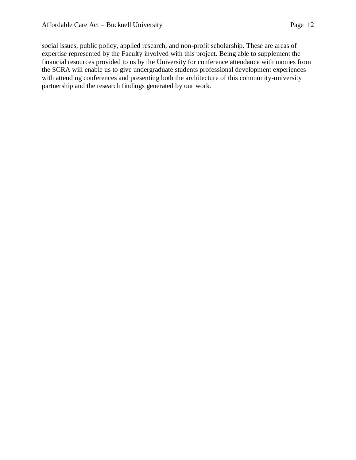social issues, public policy, applied research, and non-profit scholarship. These are areas of expertise represented by the Faculty involved with this project. Being able to supplement the financial resources provided to us by the University for conference attendance with monies from the SCRA will enable us to give undergraduate students professional development experiences with attending conferences and presenting both the architecture of this community-university partnership and the research findings generated by our work.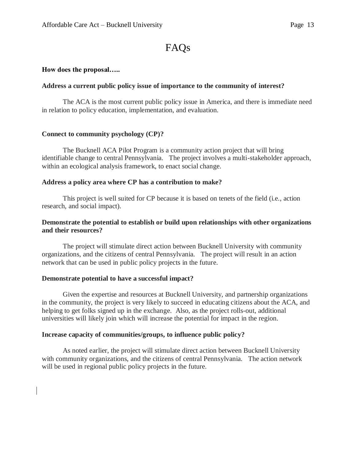# FAQs

# **How does the proposal…..**

# **Address a current public policy issue of importance to the community of interest?**

The ACA is the most current public policy issue in America, and there is immediate need in relation to policy education, implementation, and evaluation.

# **Connect to community psychology (CP)?**

The Bucknell ACA Pilot Program is a community action project that will bring identifiable change to central Pennsylvania. The project involves a multi-stakeholder approach, within an ecological analysis framework, to enact social change.

# **Address a policy area where CP has a contribution to make?**

This project is well suited for CP because it is based on tenets of the field (i.e., action research, and social impact).

# **Demonstrate the potential to establish or build upon relationships with other organizations and their resources?**

The project will stimulate direct action between Bucknell University with community organizations, and the citizens of central Pennsylvania. The project will result in an action network that can be used in public policy projects in the future.

# **Demonstrate potential to have a successful impact?**

Given the expertise and resources at Bucknell University, and partnership organizations in the community, the project is very likely to succeed in educating citizens about the ACA, and helping to get folks signed up in the exchange. Also, as the project rolls-out, additional universities will likely join which will increase the potential for impact in the region.

# **Increase capacity of communities/groups, to influence public policy?**

As noted earlier, the project will stimulate direct action between Bucknell University with community organizations, and the citizens of central Pennsylvania. The action network will be used in regional public policy projects in the future.